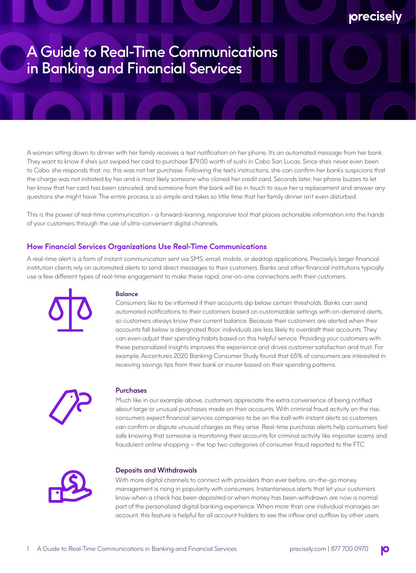# A Guide to Real-Time Communications in Banking and Financial Services

A woman sitting down to dinner with her family receives a text notification on her phone. It's an automated message from her bank. They want to know if she's just swiped her card to purchase \$79.00 worth of sushi in Cabo San Lucas. Since she's never even been to Cabo, she responds that, no, this was not her purchase. Following the text's instructions, she can confirm her bank's suspicions that the charge was not initiated by her and is most likely someone who cloned her credit card. Seconds later, her phone buzzes to let her know that her card has been canceled, and someone from the bank will be in touch to issue her a replacement and answer any questions she might have. The entire process is so simple and takes so little time that her family dinner isn't even disturbed.

This is the power of real-time communication - a forward-leaning, responsive tool that places actionable information into the hands of your customers through the use of ultra-convenient digital channels.

# **How Financial Services Organizations Use Real-Time Communications**

A real-time alert is a form of instant communication sent via SMS, email, mobile, or desktop applications. Precisely's larger financial institution clients rely on automated alerts to send direct messages to their customers. Banks and other financial institutions typically use a few different types of real-time engagement to make these rapid, one-on-one connections with their customers.



#### Balance

Consumers like to be informed if their accounts dip below certain thresholds. Banks can send automated notifications to their customers based on customizable settings with on-demand alerts, so customers always know their current balance. Because their customers are alerted when their accounts fall below a designated floor, individuals are less likely to overdraft their accounts. They can even adjust their spending habits based on this helpful service. Providing your customers with these personalized insights improves the experience and drives customer satisfaction and trust. For example, Accenture's 2020 Banking Consumer Study found that 65% of consumers are interested in receiving savings tips from their bank or insurer based on their spending patterns.



### Purchases

Much like in our example above, customers appreciate the extra convenience of being notified about large or unusual purchases made on their accounts. With criminal fraud activity on the rise, consumers expect financial services companies to be on the ball with instant alerts so customers can confirm or dispute unusual charges as they arise. Real-time purchase alerts help consumers feel safe knowing that someone is monitoring their accounts for criminal activity like imposter scams and fraudulent online shopping – the top two categories of consumer fraud reported to the FTC.



#### Deposits and Withdrawals

With more digital channels to connect with providers than ever before, on-the-go money management is rising in popularity with consumers. Instantaneous alerts that let your customers know when a check has been deposited or when money has been withdrawn are now a normal part of the personalized digital banking experience. When more than one individual manages an account, this feature is helpful for all account holders to see the inflow and outflow by other users.

precisely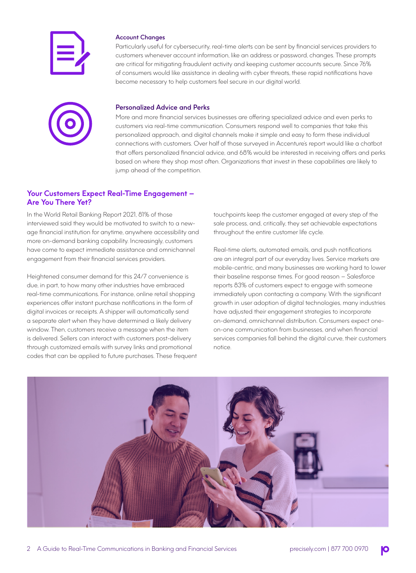

#### Account Changes

Particularly useful for cybersecurity, real-time alerts can be sent by financial services providers to customers whenever account information, like an address or password, changes. These prompts are critical for mitigating fraudulent activity and keeping customer accounts secure. Since 76% of consumers would like assistance in dealing with cyber threats, these rapid notifications have become necessary to help customers feel secure in our digital world.



#### Personalized Advice and Perks

More and more financial services businesses are offering specialized advice and even perks to customers via real-time communication. Consumers respond well to companies that take this personalized approach, and digital channels make it simple and easy to form these individual connections with customers. Over half of those surveyed in Accenture's report would like a chatbot that offers personalized financial advice, and 68% would be interested in receiving offers and perks based on where they shop most often. Organizations that invest in these capabilities are likely to jump ahead of the competition.

# **Your Customers Expect Real-Time Engagement – Are You There Yet?**

In the World Retail Banking Report 2021, 81% of those interviewed said they would be motivated to switch to a newage financial institution for anytime, anywhere accessibility and more on-demand banking capability. Increasingly, customers have come to expect immediate assistance and omnichannel engagement from their financial services providers.

Heightened consumer demand for this 24/7 convenience is due, in part, to how many other industries have embraced real-time communications. For instance, online retail shopping experiences offer instant purchase notifications in the form of digital invoices or receipts. A shipper will automatically send a separate alert when they have determined a likely delivery window. Then, customers receive a message when the item is delivered. Sellers can interact with customers post-delivery through customized emails with survey links and promotional codes that can be applied to future purchases. These frequent touchpoints keep the customer engaged at every step of the sale process, and, critically, they set achievable expectations throughout the entire customer life cycle.

Real-time alerts, automated emails, and push notifications are an integral part of our everyday lives. Service markets are mobile-centric, and many businesses are working hard to lower their baseline response times. For good reason – Salesforce reports 83% of customers expect to engage with someone immediately upon contacting a company. With the significant growth in user adoption of digital technologies, many industries have adjusted their engagement strategies to incorporate on-demand, omnichannel distribution. Consumers expect oneon-one communication from businesses, and when financial services companies fall behind the digital curve, their customers notice.

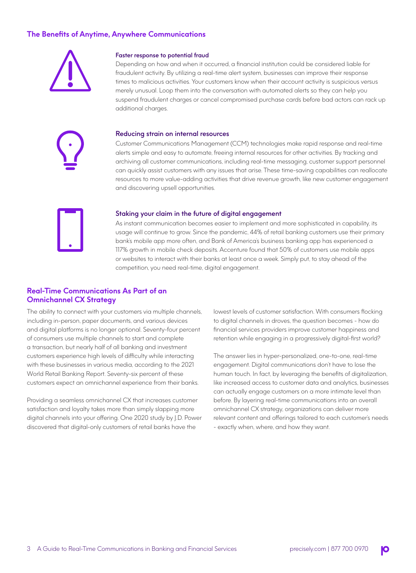# **The Benefits of Anytime, Anywhere Communications**



#### Faster response to potential fraud

Depending on how and when it occurred, a financial institution could be considered liable for fraudulent activity. By utilizing a real-time alert system, businesses can improve their response times to malicious activities. Your customers know when their account activity is suspicious versus merely unusual. Loop them into the conversation with automated alerts so they can help you suspend fraudulent charges or cancel compromised purchase cards before bad actors can rack up additional charges.

#### Reducing strain on internal resources

Customer Communications Management (CCM) technologies make rapid response and real-time alerts simple and easy to automate, freeing internal resources for other activities. By tracking and archiving all customer communications, including real-time messaging, customer support personnel can quickly assist customers with any issues that arise. These time-saving capabilities can reallocate resources to more value-adding activities that drive revenue growth, like new customer engagement and discovering upsell opportunities.



#### Staking your claim in the future of digital engagement

As instant communication becomes easier to implement and more sophisticated in capability, its usage will continue to grow. Since the pandemic, 44% of retail banking customers use their primary bank's mobile app more often, and Bank of America's business banking app has experienced a 117% growth in mobile check deposits. Accenture found that 50% of customers use mobile apps or websites to interact with their banks at least once a week. Simply put, to stay ahead of the competition, you need real-time, digital engagement.

# **Real-Time Communications As Part of an Omnichannel CX Strategy**

The ability to connect with your customers via multiple channels, including in-person, paper documents, and various devices and digital platforms is no longer optional. Seventy-four percent of consumers use multiple channels to start and complete a transaction, but nearly half of all banking and investment customers experience high levels of difficulty while interacting with these businesses in various media, according to the 2021 World Retail Banking Report. Seventy-six percent of these customers expect an omnichannel experience from their banks.

Providing a seamless omnichannel CX that increases customer satisfaction and loyalty takes more than simply slapping more digital channels into your offering. One 2020 study by J.D. Power discovered that digital-only customers of retail banks have the

lowest levels of customer satisfaction. With consumers flocking to digital channels in droves, the question becomes - how do financial services providers improve customer happiness and retention while engaging in a progressively digital-first world?

The answer lies in hyper-personalized, one-to-one, real-time engagement. Digital communications don't have to lose the human touch. In fact, by leveraging the benefits of digitalization, like increased access to customer data and analytics, businesses can actually engage customers on a more intimate level than before. By layering real-time communications into an overall omnichannel CX strategy, organizations can deliver more relevant content and offerings tailored to each customer's needs - exactly when, where, and how they want.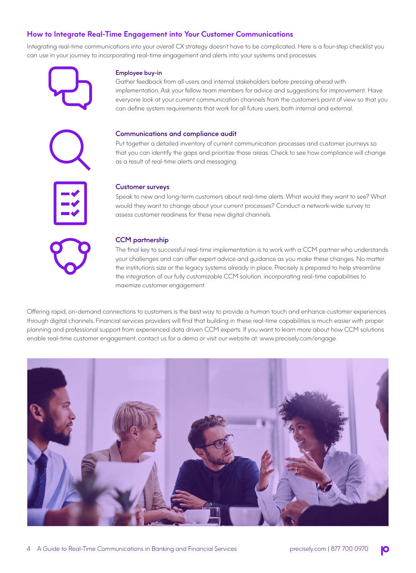# **How to Integrate Real-Time Engagement into Your Customer Communications**

Integrating real-time communications into your overall CX strategy doesn't have to be complicated. Here is a four-step checklist you can use in your journey to incorporating real-time engagement and alerts into your systems and processes.



#### Employee buy-in

Gather feedback from all users and internal stakeholders before pressing ahead with implementation. Ask your fellow team members for advice and suggestions for improvement. Have everyone look at your current communication channels from the customer's point of view so that you can define system requirements that work for all future users, both internal and external.

#### Communications and compliance audit

Put together a detailed inventory of current communication processes and customer journeys so that you can identify the gaps and prioritize those areas. Check to see how compliance will change as a result of real-time alerts and messaging.



#### Customer surveys

Speak to new and long-term customers about real-time alerts. What would they want to see? What would they want to change about your current processes? Conduct a network-wide survey to assess customer readiness for these new digital channels.

#### CCM partnership

The final key to successful real-time implementation is to work with a CCM partner who understands your challenges and can offer expert advice and guidance as you make these changes. No matter the institution's size or the legacy systems already in place, Precisely is prepared to help streamline the integration of our fully customizable CCM solution, incorporating real-time capabilities to maximize customer engagement.

Offering rapid, on-demand connections to customers is the best way to provide a human touch and enhance customer experiences through digital channels. Financial services providers will find that building in these real-time capabilities is much easier with proper planning and professional support from experienced data driven CCM experts. If you want to learn more about how CCM solutions enable real-time customer engagement, contact us for a demo or visit our website at: www.precisely.com/engage.